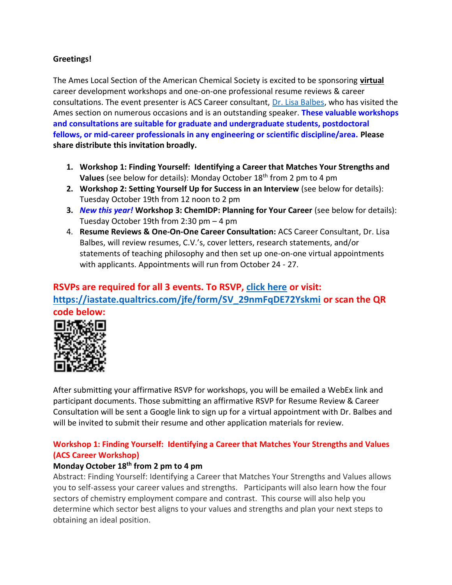## **Greetings!**

The Ames Local Section of the American Chemical Society is excited to be sponsoring **virtual** career development workshops and one-on-one professional resume reviews & career consultations. The event presenter is ACS Career consultant, [Dr. Lisa Balbes,](http://balbes.com/index.html) who has visited the Ames section on numerous occasions and is an outstanding speaker. **These valuable workshops and consultations are suitable for graduate and undergraduate students, postdoctoral fellows, or mid-career professionals in any engineering or scientific discipline/area. Please share distribute this invitation broadly.**

- **1. Workshop 1: Finding Yourself: Identifying a Career that Matches Your Strengths and Values** (see below for details): Monday October 18th from 2 pm to 4 pm
- **2. Workshop 2: Setting Yourself Up for Success in an Interview** (see below for details): Tuesday October 19th from 12 noon to 2 pm
- **3.** *New this year!* **Workshop 3: ChemIDP: Planning for Your Career** (see below for details): Tuesday October 19th from 2:30 pm – 4 pm
- 4. **Resume Reviews & One-On-One Career Consultation:** ACS Career Consultant, Dr. Lisa Balbes, will review resumes, C.V.'s, cover letters, research statements, and/or statements of teaching philosophy and then set up one-on-one virtual appointments with applicants. Appointments will run from October 24 - 27.

## **RSVPs are required for all 3 events. To RSVP, [click here](https://iastate.qualtrics.com/jfe/form/SV_29nmFqDE72Yskmi) or visit: [https://iastate.qualtrics.com/jfe/form/SV\\_29nmFqDE72Yskmi](https://iastate.qualtrics.com/jfe/form/SV_29nmFqDE72Yskmi) or scan the QR code below:**



After submitting your affirmative RSVP for workshops, you will be emailed a WebEx link and participant documents. Those submitting an affirmative RSVP for Resume Review & Career Consultation will be sent a Google link to sign up for a virtual appointment with Dr. Balbes and will be invited to submit their resume and other application materials for review.

## **Workshop 1: Finding Yourself: Identifying a Career that Matches Your Strengths and Values (ACS Career Workshop)**

## **Monday October 18th from 2 pm to 4 pm**

Abstract: Finding Yourself: Identifying a Career that Matches Your Strengths and Values allows you to self-assess your career values and strengths. Participants will also learn how the four sectors of chemistry employment compare and contrast. This course will also help you determine which sector best aligns to your values and strengths and plan your next steps to obtaining an ideal position.